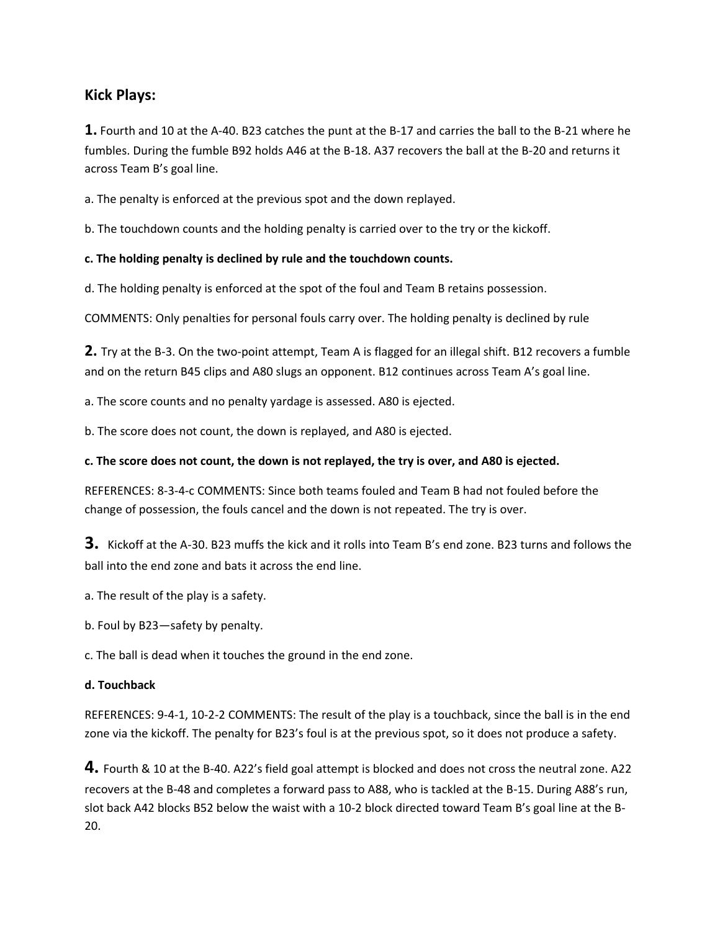# **Kick Plays:**

**1.** Fourth and 10 at the A-40. B23 catches the punt at the B-17 and carries the ball to the B-21 where he fumbles. During the fumble B92 holds A46 at the B-18. A37 recovers the ball at the B-20 and returns it across Team B's goal line.

a. The penalty is enforced at the previous spot and the down replayed.

b. The touchdown counts and the holding penalty is carried over to the try or the kickoff.

# **c. The holding penalty is declined by rule and the touchdown counts.**

d. The holding penalty is enforced at the spot of the foul and Team B retains possession.

COMMENTS: Only penalties for personal fouls carry over. The holding penalty is declined by rule

**2.** Try at the B-3. On the two-point attempt, Team A is flagged for an illegal shift. B12 recovers a fumble and on the return B45 clips and A80 slugs an opponent. B12 continues across Team A's goal line.

a. The score counts and no penalty yardage is assessed. A80 is ejected.

b. The score does not count, the down is replayed, and A80 is ejected.

### **c. The score does not count, the down is not replayed, the try is over, and A80 is ejected.**

REFERENCES: 8-3-4-c COMMENTS: Since both teams fouled and Team B had not fouled before the change of possession, the fouls cancel and the down is not repeated. The try is over.

**3.** Kickoff at the A-30. B23 muffs the kick and it rolls into Team B's end zone. B23 turns and follows the ball into the end zone and bats it across the end line.

a. The result of the play is a safety.

b. Foul by B23—safety by penalty.

c. The ball is dead when it touches the ground in the end zone.

### **d. Touchback**

REFERENCES: 9-4-1, 10-2-2 COMMENTS: The result of the play is a touchback, since the ball is in the end zone via the kickoff. The penalty for B23's foul is at the previous spot, so it does not produce a safety.

**4.** Fourth & 10 at the B-40. A22's field goal attempt is blocked and does not cross the neutral zone. A22 recovers at the B-48 and completes a forward pass to A88, who is tackled at the B-15. During A88's run, slot back A42 blocks B52 below the waist with a 10-2 block directed toward Team B's goal line at the B-20.